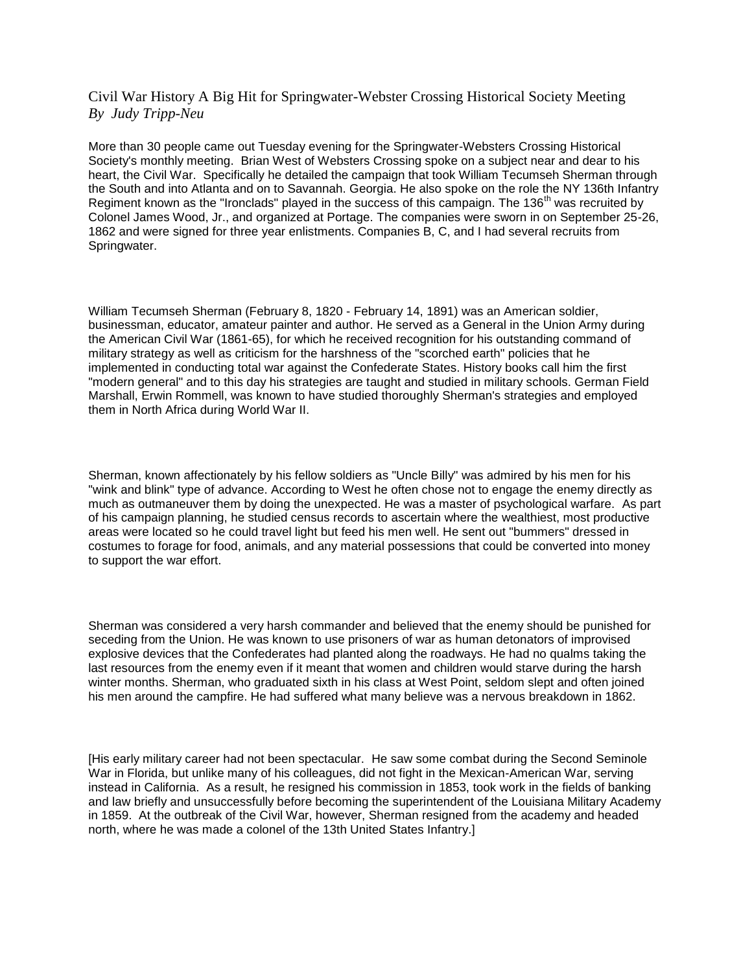## Civil War History A Big Hit for Springwater-Webster Crossing Historical Society Meeting *By Judy Tripp-Neu*

More than 30 people came out Tuesday evening for the Springwater-Websters Crossing Historical Society's monthly meeting. Brian West of Websters Crossing spoke on a subject near and dear to his heart, the Civil War. Specifically he detailed the campaign that took William Tecumseh Sherman through the South and into Atlanta and on to Savannah. Georgia. He also spoke on the role the NY 136th Infantry Regiment known as the "Ironclads" played in the success of this campaign. The 136<sup>th</sup> was recruited by Colonel James Wood, Jr., and organized at Portage. The companies were sworn in on September 25-26, 1862 and were signed for three year enlistments. Companies B, C, and I had several recruits from Springwater.

William Tecumseh Sherman (February 8, 1820 - February 14, 1891) was an American soldier, businessman, educator, amateur painter and author. He served as a General in the Union Army during the American Civil War (1861-65), for which he received recognition for his outstanding command of military strategy as well as criticism for the harshness of the "scorched earth" policies that he implemented in conducting total war against the Confederate States. History books call him the first "modern general" and to this day his strategies are taught and studied in military schools. German Field Marshall, Erwin Rommell, was known to have studied thoroughly Sherman's strategies and employed them in North Africa during World War II.

Sherman, known affectionately by his fellow soldiers as "Uncle Billy" was admired by his men for his "wink and blink" type of advance. According to West he often chose not to engage the enemy directly as much as outmaneuver them by doing the unexpected. He was a master of psychological warfare. As part of his campaign planning, he studied census records to ascertain where the wealthiest, most productive areas were located so he could travel light but feed his men well. He sent out "bummers" dressed in costumes to forage for food, animals, and any material possessions that could be converted into money to support the war effort.

Sherman was considered a very harsh commander and believed that the enemy should be punished for seceding from the Union. He was known to use prisoners of war as human detonators of improvised explosive devices that the Confederates had planted along the roadways. He had no qualms taking the last resources from the enemy even if it meant that women and children would starve during the harsh winter months. Sherman, who graduated sixth in his class at West Point, seldom slept and often joined his men around the campfire. He had suffered what many believe was a nervous breakdown in 1862.

[His early military career had not been spectacular. He saw some combat during the Second Seminole War in Florida, but unlike many of his colleagues, did not fight in the Mexican-American War, serving instead in California. As a result, he resigned his commission in 1853, took work in the fields of banking and law briefly and unsuccessfully before becoming the superintendent of the Louisiana Military Academy in 1859. At the outbreak of the Civil War, however, Sherman resigned from the academy and headed north, where he was made a colonel of the 13th United States Infantry.]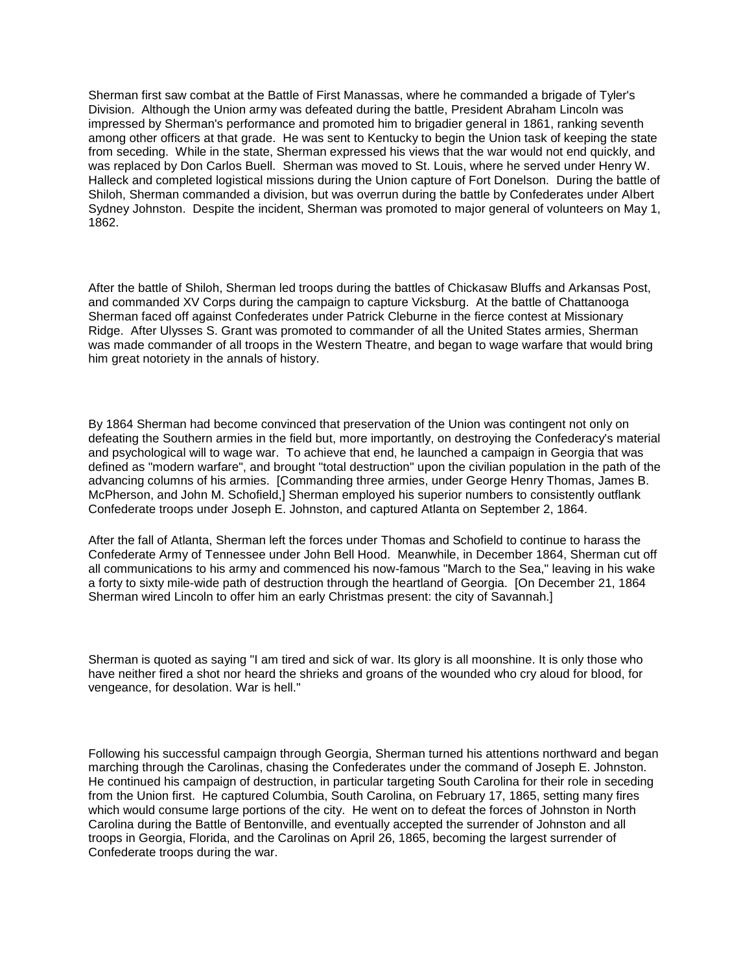Sherman first saw combat at the Battle of First Manassas, where he commanded a brigade of Tyler's Division. Although the Union army was defeated during the battle, President Abraham Lincoln was impressed by Sherman's performance and promoted him to brigadier general in 1861, ranking seventh among other officers at that grade. He was sent to Kentucky to begin the Union task of keeping the state from seceding. While in the state, Sherman expressed his views that the war would not end quickly, and was replaced by Don Carlos Buell. Sherman was moved to St. Louis, where he served under Henry W. Halleck and completed logistical missions during the Union capture of Fort Donelson. During the battle of Shiloh, Sherman commanded a division, but was overrun during the battle by Confederates under Albert Sydney Johnston. Despite the incident, Sherman was promoted to major general of volunteers on May 1, 1862.

After the battle of Shiloh, Sherman led troops during the battles of Chickasaw Bluffs and Arkansas Post, and commanded XV Corps during the campaign to capture Vicksburg. At the battle of Chattanooga Sherman faced off against Confederates under Patrick Cleburne in the fierce contest at Missionary Ridge. After Ulysses S. Grant was promoted to commander of all the United States armies, Sherman was made commander of all troops in the Western Theatre, and began to wage warfare that would bring him great notoriety in the annals of history.

By 1864 Sherman had become convinced that preservation of the Union was contingent not only on defeating the Southern armies in the field but, more importantly, on destroying the Confederacy's material and psychological will to wage war. To achieve that end, he launched a campaign in Georgia that was defined as "modern warfare", and brought "total destruction" upon the civilian population in the path of the advancing columns of his armies. [Commanding three armies, under George Henry Thomas, James B. McPherson, and John M. Schofield,] Sherman employed his superior numbers to consistently outflank Confederate troops under Joseph E. Johnston, and captured Atlanta on September 2, 1864.

After the fall of Atlanta, Sherman left the forces under Thomas and Schofield to continue to harass the Confederate Army of Tennessee under John Bell Hood. Meanwhile, in December 1864, Sherman cut off all communications to his army and commenced his now-famous "March to the Sea," leaving in his wake a forty to sixty mile-wide path of destruction through the heartland of Georgia. [On December 21, 1864 Sherman wired Lincoln to offer him an early Christmas present: the city of Savannah.]

Sherman is quoted as saying "I am tired and sick of war. Its glory is all moonshine. It is only those who have neither fired a shot nor heard the shrieks and groans of the wounded who cry aloud for blood, for vengeance, for desolation. War is hell."

Following his successful campaign through Georgia, Sherman turned his attentions northward and began marching through the Carolinas, chasing the Confederates under the command of Joseph E. Johnston. He continued his campaign of destruction, in particular targeting South Carolina for their role in seceding from the Union first. He captured Columbia, South Carolina, on February 17, 1865, setting many fires which would consume large portions of the city. He went on to defeat the forces of Johnston in North Carolina during the Battle of Bentonville, and eventually accepted the surrender of Johnston and all troops in Georgia, Florida, and the Carolinas on April 26, 1865, becoming the largest surrender of Confederate troops during the war.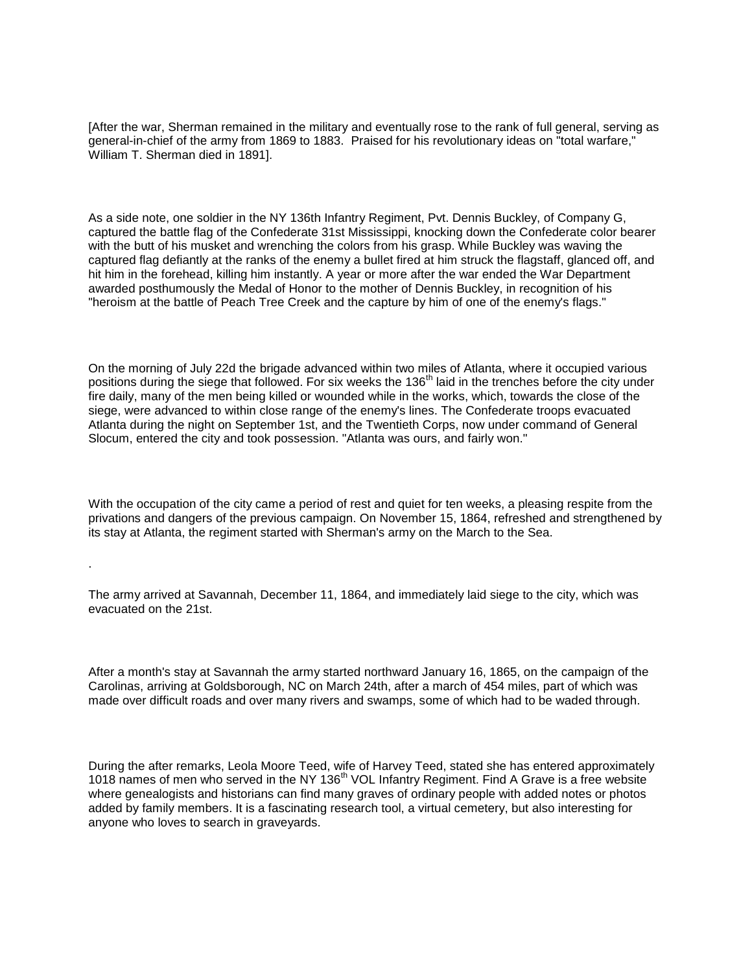[After the war, Sherman remained in the military and eventually rose to the rank of full general, serving as general-in-chief of the army from 1869 to 1883. Praised for his revolutionary ideas on "total warfare," William T. Sherman died in 1891].

As a side note, one soldier in the NY 136th Infantry Regiment, Pvt. Dennis Buckley, of Company G, captured the battle flag of the Confederate 31st Mississippi, knocking down the Confederate color bearer with the butt of his musket and wrenching the colors from his grasp. While Buckley was waving the captured flag defiantly at the ranks of the enemy a bullet fired at him struck the flagstaff, glanced off, and hit him in the forehead, killing him instantly. A year or more after the war ended the War Department awarded posthumously the Medal of Honor to the mother of Dennis Buckley, in recognition of his "heroism at the battle of Peach Tree Creek and the capture by him of one of the enemy's flags."

On the morning of July 22d the brigade advanced within two miles of Atlanta, where it occupied various positions during the siege that followed. For six weeks the 136<sup>th</sup> laid in the trenches before the city under fire daily, many of the men being killed or wounded while in the works, which, towards the close of the siege, were advanced to within close range of the enemy's lines. The Confederate troops evacuated Atlanta during the night on September 1st, and the Twentieth Corps, now under command of General Slocum, entered the city and took possession. "Atlanta was ours, and fairly won."

With the occupation of the city came a period of rest and quiet for ten weeks, a pleasing respite from the privations and dangers of the previous campaign. On November 15, 1864, refreshed and strengthened by its stay at Atlanta, the regiment started with Sherman's army on the March to the Sea.

The army arrived at Savannah, December 11, 1864, and immediately laid siege to the city, which was evacuated on the 21st.

.

After a month's stay at Savannah the army started northward January 16, 1865, on the campaign of the Carolinas, arriving at Goldsborough, NC on March 24th, after a march of 454 miles, part of which was made over difficult roads and over many rivers and swamps, some of which had to be waded through.

During the after remarks, Leola Moore Teed, wife of Harvey Teed, stated she has entered approximately 1018 names of men who served in the NY 136<sup>th</sup> VOL Infantry Regiment. Find A Grave is a free website where genealogists and historians can find many graves of ordinary people with added notes or photos added by family members. It is a fascinating research tool, a virtual cemetery, but also interesting for anyone who loves to search in graveyards.